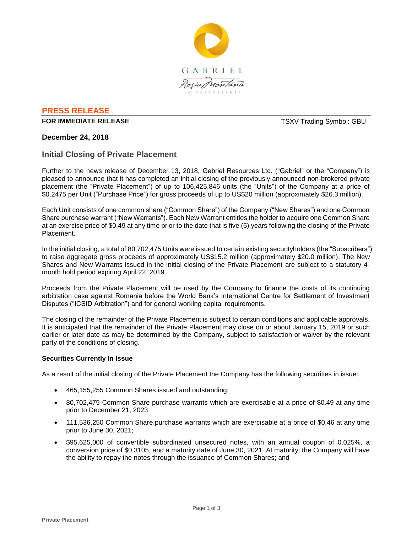

# **PRESS RELEASE**

#### **FOR IMMEDIATE RELEASE THE SECOND SYMBOL: GBU TSXV Trading Symbol: GBU**

## **December 24, 2018**

## **Initial Closing of Private Placement**

Further to the news release of December 13, 2018, Gabriel Resources Ltd. ("Gabriel" or the "Company") is pleased to announce that it has completed an initial closing of the previously announced non-brokered private placement (the "Private Placement") of up to 106,425,846 units (the "Units") of the Company at a price of \$0.2475 per Unit ("Purchase Price") for gross proceeds of up to US\$20 million (approximately \$26.3 million).

Each Unit consists of one common share ("Common Share") of the Company ("New Shares") and one Common Share purchase warrant ("New Warrants"). Each New Warrant entitles the holder to acquire one Common Share at an exercise price of \$0.49 at any time prior to the date that is five (5) years following the closing of the Private Placement.

In the initial closing, a total of 80,702,475 Units were issued to certain existing securityholders (the "Subscribers") to raise aggregate gross proceeds of approximately US\$15.2 million (approximately \$20.0 million). The New Shares and New Warrants issued in the initial closing of the Private Placement are subject to a statutory 4 month hold period expiring April 22, 2019.

Proceeds from the Private Placement will be used by the Company to finance the costs of its continuing arbitration case against Romania before the World Bank's International Centre for Settlement of Investment Disputes ("ICSID Arbitration") and for general working capital requirements.

The closing of the remainder of the Private Placement is subject to certain conditions and applicable approvals. It is anticipated that the remainder of the Private Placement may close on or about January 15, 2019 or such earlier or later date as may be determined by the Company, subject to satisfaction or waiver by the relevant party of the conditions of closing.

#### **Securities Currently In Issue**

As a result of the initial closing of the Private Placement the Company has the following securities in issue:

- 465,155,255 Common Shares issued and outstanding;
- 80,702,475 Common Share purchase warrants which are exercisable at a price of \$0.49 at any time prior to December 21, 2023
- 111,536,250 Common Share purchase warrants which are exercisable at a price of \$0.46 at any time prior to June 30, 2021;
- \$95,625,000 of convertible subordinated unsecured notes, with an annual coupon of 0.025%, a conversion price of \$0.3105, and a maturity date of June 30, 2021. At maturity, the Company will have the ability to repay the notes through the issuance of Common Shares; and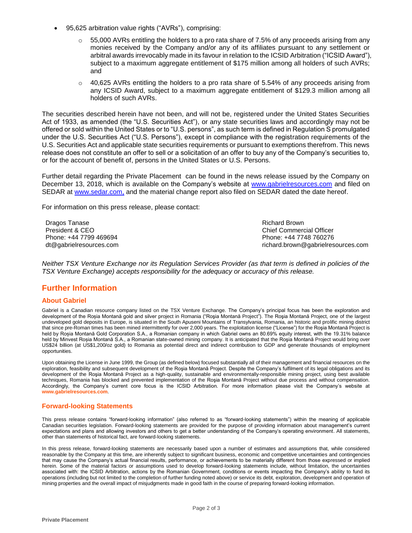- 95,625 arbitration value rights ("AVRs"), comprising:
	- 55,000 AVRs entitling the holders to a pro rata share of 7.5% of any proceeds arising from any monies received by the Company and/or any of its affiliates pursuant to any settlement or arbitral awards irrevocably made in its favour in relation to the ICSID Arbitration ("ICSID Award"), subject to a maximum aggregate entitlement of \$175 million among all holders of such AVRs; and
	- $\circ$  40,625 AVRs entitling the holders to a pro rata share of 5.54% of any proceeds arising from any ICSID Award, subject to a maximum aggregate entitlement of \$129.3 million among all holders of such AVRs.

The securities described herein have not been, and will not be, registered under the United States Securities Act of 1933, as amended (the "U.S. Securities Act"), or any state securities laws and accordingly may not be offered or sold within the United States or to "U.S. persons", as such term is defined in Regulation S promulgated under the U.S. Securities Act ("U.S. Persons"), except in compliance with the registration requirements of the U.S. Securities Act and applicable state securities requirements or pursuant to exemptions therefrom. This news release does not constitute an offer to sell or a solicitation of an offer to buy any of the Company's securities to, or for the account of benefit of, persons in the United States or U.S. Persons.

Further detail regarding the Private Placement can be found in the news release issued by the Company on December 13, 2018, which is available on the Company's website at www.gabrielresources.com and filed on SEDAR at www.sedar.com, and the material change report also filed on SEDAR dated the date hereof.

For information on this press release, please contact:

Dragos Tanase President & CEO Phone: +44 7799 469694 dt@gabrielresources.com Richard Brown Chief Commercial Officer Phone: +44 7748 760276 richard.brown@gabrielresources.com

*Neither TSX Venture Exchange nor its Regulation Services Provider (as that term is defined in policies of the TSX Venture Exchange) accepts responsibility for the adequacy or accuracy of this release.*

# **Further Information**

## **About Gabriel**

Gabriel is a Canadian resource company listed on the TSX Venture Exchange. The Company's principal focus has been the exploration and development of the Roșia Montană gold and silver project in Romania ("Roşia Montană Project"). The Roşia Montană Project, one of the largest undeveloped gold deposits in Europe, is situated in the South Apuseni Mountains of Transylvania, Romania, an historic and prolific mining district that since pre-Roman times has been mined intermittently for over 2,000 years. The exploitation license ("License") for the Roşia Montană Project is held by Roșia Montană Gold Corporation S.A., a Romanian company in which Gabriel owns an 80.69% equity interest, with the 19.31% balance held by Minvest Roșia Montană S.A., a Romanian state-owned mining company. It is anticipated that the Roşia Montană Project would bring over US\$24 billion (at US\$1,200/oz gold) to Romania as potential direct and indirect contribution to GDP and generate thousands of employment opportunities.

Upon obtaining the License in June 1999, the Group (as defined below) focused substantially all of their management and financial resources on the exploration, feasibility and subsequent development of the Roşia Montană Project. Despite the Company's fulfilment of its legal obligations and its development of the Roşia Montană Project as a high-quality, sustainable and environmentally-responsible mining project, using best available techniques, Romania has blocked and prevented implementation of the Roşia Montană Project without due process and without compensation. Accordingly, the Company's current core focus is the ICSID Arbitration. For more information please visit the Company's website at **www.gabrielresources.com**.

## **Forward-looking Statements**

This press release contains "forward-looking information" (also referred to as "forward-looking statements") within the meaning of applicable Canadian securities legislation. Forward-looking statements are provided for the purpose of providing information about management's current expectations and plans and allowing investors and others to get a better understanding of the Company's operating environment. All statements, other than statements of historical fact, are forward-looking statements.

In this press release, forward-looking statements are necessarily based upon a number of estimates and assumptions that, while considered reasonable by the Company at this time, are inherently subject to significant business, economic and competitive uncertainties and contingencies that may cause the Company's actual financial results, performance, or achievements to be materially different from those expressed or implied herein. Some of the material factors or assumptions used to develop forward-looking statements include, without limitation, the uncertainties associated with: the ICSID Arbitration, actions by the Romanian Government, conditions or events impacting the Company's ability to fund its operations (including but not limited to the completion of further funding noted above) or service its debt, exploration, development and operation of mining properties and the overall impact of misjudgments made in good faith in the course of preparing forward-looking information.